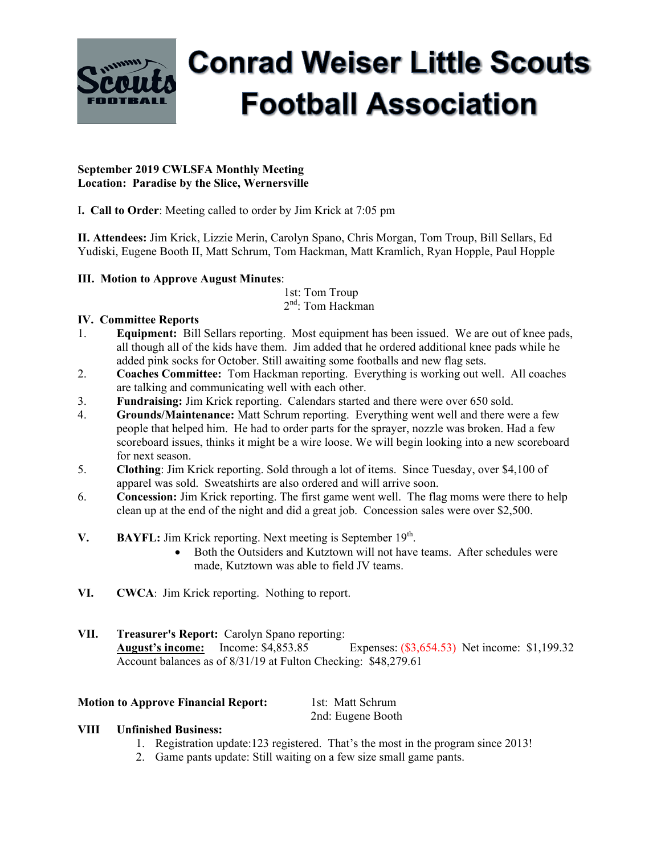

# **Conrad Weiser Little Scouts Football Association**

#### **September 2019 CWLSFA Monthly Meeting Location: Paradise by the Slice, Wernersville**

I**. Call to Order**: Meeting called to order by Jim Krick at 7:05 pm

**II. Attendees:** Jim Krick, Lizzie Merin, Carolyn Spano, Chris Morgan, Tom Troup, Bill Sellars, Ed Yudiski, Eugene Booth II, Matt Schrum, Tom Hackman, Matt Kramlich, Ryan Hopple, Paul Hopple

## **III. Motion to Approve August Minutes**:

 1st: Tom Troup 2nd: Tom Hackman

## **IV. Committee Reports**

- 1. **Equipment:** Bill Sellars reporting. Most equipment has been issued. We are out of knee pads, all though all of the kids have them. Jim added that he ordered additional knee pads while he added pink socks for October. Still awaiting some footballs and new flag sets.
- 2. **Coaches Committee:** Tom Hackman reporting. Everything is working out well. All coaches are talking and communicating well with each other.
- 3. **Fundraising:** Jim Krick reporting. Calendars started and there were over 650 sold.
- 4. **Grounds/Maintenance:** Matt Schrum reporting. Everything went well and there were a few people that helped him. He had to order parts for the sprayer, nozzle was broken. Had a few scoreboard issues, thinks it might be a wire loose. We will begin looking into a new scoreboard for next season.
- 5. **Clothing**: Jim Krick reporting. Sold through a lot of items. Since Tuesday, over \$4,100 of apparel was sold. Sweatshirts are also ordered and will arrive soon.
- 6. **Concession:** Jim Krick reporting. The first game went well. The flag moms were there to help clean up at the end of the night and did a great job. Concession sales were over \$2,500.
- **V. BAYFL:** Jim Krick reporting. Next meeting is September 19<sup>th</sup>.
	- Both the Outsiders and Kutztown will not have teams. After schedules were made, Kutztown was able to field JV teams.
- **VI. CWCA**: Jim Krick reporting. Nothing to report.
- **VII. Treasurer's Report:** Carolyn Spano reporting: **August's income:** Income: \$4,853.85 Expenses: (\$3,654.53) Net income: \$1,199.32 Account balances as of 8/31/19 at Fulton Checking: \$48,279.61

## **Motion to Approve Financial Report:** 1st: Matt Schrum

2nd: Eugene Booth

## **VIII Unfinished Business:**

- 1. Registration update:123 registered. That's the most in the program since 2013!
- 2. Game pants update: Still waiting on a few size small game pants.